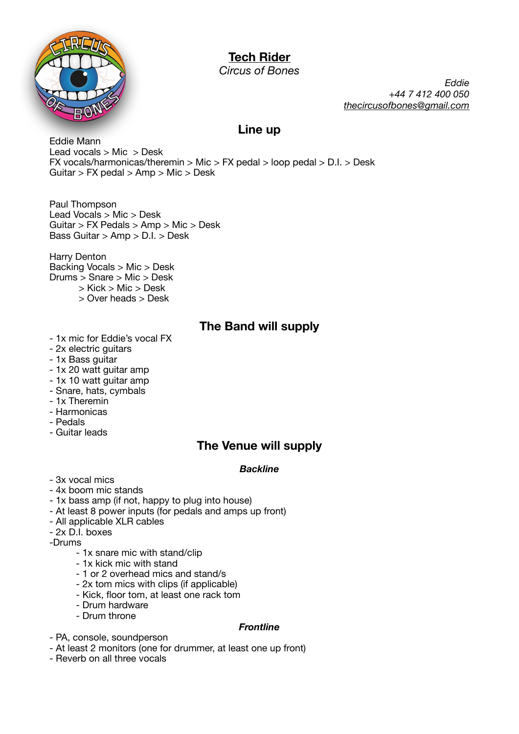

# **Tech Rider**

*Circus of Bones* 

*Eddie +44 7 412 400 050 [thecircusofbones@gmail.com](mailto:thecircusofbones@gmail.com)*

### **Line up**

Eddie Mann Lead vocals > Mic > Desk FX vocals/harmonicas/theremin > Mic > FX pedal > loop pedal > D.I. > Desk Guitar > FX pedal > Amp > Mic > Desk

Paul Thompson Lead Vocals > Mic > Desk Guitar > FX Pedals > Amp > Mic > Desk Bass Guitar > Amp > D.I. > Desk

Harry Denton Backing Vocals > Mic > Desk Drums > Snare > Mic > Desk > Kick > Mic > Desk

> Over heads > Desk

### **The Band will supply**

- 1x mic for Eddie's vocal FX
- 2x electric guitars
- 1x Bass guitar
- 1x 20 watt guitar amp
- 1x 10 watt guitar amp
- Snare, hats, cymbals
- 1x Theremin
- Harmonicas
- Pedals
- Guitar leads

## **The Venue will supply**

### *Backline*

- 3x vocal mics
- 4x boom mic stands
- 1x bass amp (if not, happy to plug into house)
- At least 8 power inputs (for pedals and amps up front)
- All applicable XLR cables
- 2x D.I. boxes
- -Drums
	- 1x snare mic with stand/clip
	- 1x kick mic with stand
	- 1 or 2 overhead mics and stand/s
	- 2x tom mics with clips (if applicable)
	- Kick, floor tom, at least one rack tom
	- Drum hardware
	- Drum throne

### *Frontline*

- PA, console, soundperson
- At least 2 monitors (one for drummer, at least one up front)
- Reverb on all three vocals